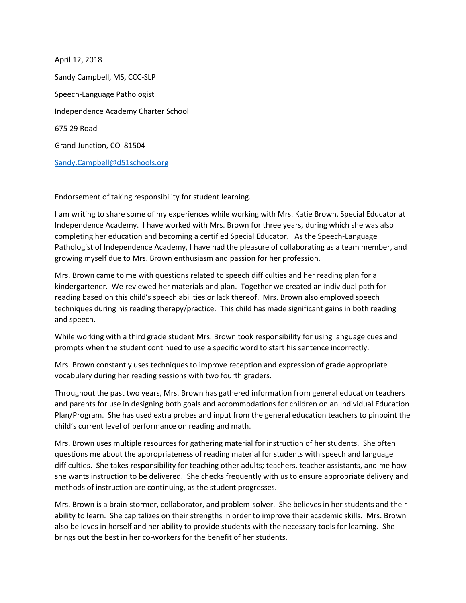April 12, 2018 Sandy Campbell, MS, CCC-SLP Speech-Language Pathologist Independence Academy Charter School 675 29 Road Grand Junction, CO 81504 [Sandy.Campbell@d51schools.org](mailto:Sandy.Campbell@d51schools.org)

Endorsement of taking responsibility for student learning.

I am writing to share some of my experiences while working with Mrs. Katie Brown, Special Educator at Independence Academy. I have worked with Mrs. Brown for three years, during which she was also completing her education and becoming a certified Special Educator. As the Speech-Language Pathologist of Independence Academy, I have had the pleasure of collaborating as a team member, and growing myself due to Mrs. Brown enthusiasm and passion for her profession.

Mrs. Brown came to me with questions related to speech difficulties and her reading plan for a kindergartener. We reviewed her materials and plan. Together we created an individual path for reading based on this child's speech abilities or lack thereof. Mrs. Brown also employed speech techniques during his reading therapy/practice. This child has made significant gains in both reading and speech.

While working with a third grade student Mrs. Brown took responsibility for using language cues and prompts when the student continued to use a specific word to start his sentence incorrectly.

Mrs. Brown constantly uses techniques to improve reception and expression of grade appropriate vocabulary during her reading sessions with two fourth graders.

Throughout the past two years, Mrs. Brown has gathered information from general education teachers and parents for use in designing both goals and accommodations for children on an Individual Education Plan/Program. She has used extra probes and input from the general education teachers to pinpoint the child's current level of performance on reading and math.

Mrs. Brown uses multiple resources for gathering material for instruction of her students. She often questions me about the appropriateness of reading material for students with speech and language difficulties. She takes responsibility for teaching other adults; teachers, teacher assistants, and me how she wants instruction to be delivered. She checks frequently with us to ensure appropriate delivery and methods of instruction are continuing, as the student progresses.

Mrs. Brown is a brain-stormer, collaborator, and problem-solver. She believes in her students and their ability to learn. She capitalizes on their strengths in order to improve their academic skills. Mrs. Brown also believes in herself and her ability to provide students with the necessary tools for learning. She brings out the best in her co-workers for the benefit of her students.